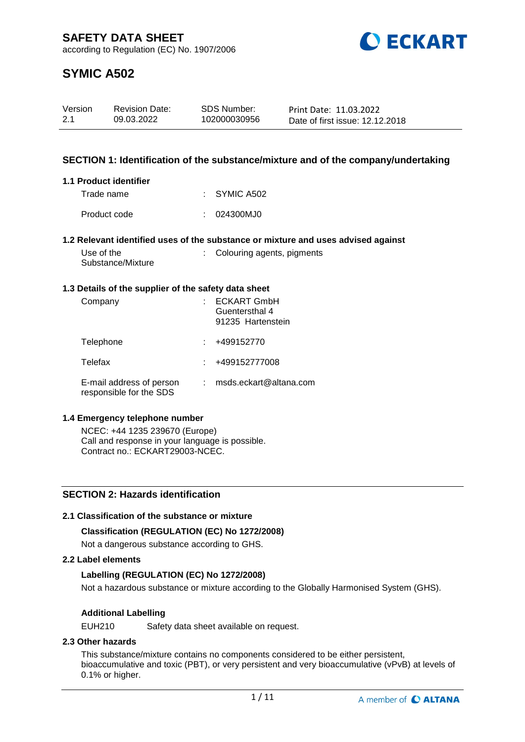

# **SYMIC A502**

| Version | <b>Revision Date:</b> | SDS Number:  | Print Date: 11.03.2022          |
|---------|-----------------------|--------------|---------------------------------|
| 2.1     | 09.03.2022            | 102000030956 | Date of first issue: 12.12.2018 |

## **SECTION 1: Identification of the substance/mixture and of the company/undertaking**

## **1.1 Product identifier**

| Trade name   | $\therefore$ SYMIC A502 |
|--------------|-------------------------|
| Product code | : 024300MJ0             |

## **1.2 Relevant identified uses of the substance or mixture and uses advised against**

| Use of the        |  |
|-------------------|--|
| Substance/Mixture |  |

# : Colouring agents, pigments

## **1.3 Details of the supplier of the safety data sheet**

| Company                                             | <b>ECKART GmbH</b><br>Guentersthal 4<br>91235 Hartenstein |
|-----------------------------------------------------|-----------------------------------------------------------|
| Telephone                                           | +499152770                                                |
| Telefax                                             | +499152777008                                             |
| E-mail address of person<br>responsible for the SDS | msds.eckart@altana.com                                    |

## **1.4 Emergency telephone number**

NCEC: +44 1235 239670 (Europe) Call and response in your language is possible. Contract no.: ECKART29003-NCEC.

# **SECTION 2: Hazards identification**

## **2.1 Classification of the substance or mixture**

## **Classification (REGULATION (EC) No 1272/2008)**

Not a dangerous substance according to GHS.

## **2.2 Label elements**

## **Labelling (REGULATION (EC) No 1272/2008)**

Not a hazardous substance or mixture according to the Globally Harmonised System (GHS).

## **Additional Labelling**

EUH210 Safety data sheet available on request.

# **2.3 Other hazards**

This substance/mixture contains no components considered to be either persistent, bioaccumulative and toxic (PBT), or very persistent and very bioaccumulative (vPvB) at levels of 0.1% or higher.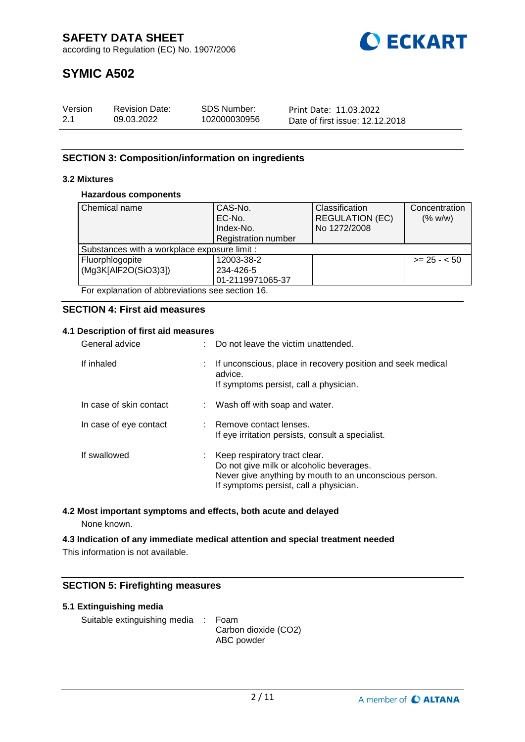

# **SYMIC A502**

| Version | <b>Revision Date:</b> | SDS Number:  | Print Date: 11.03.2022          |
|---------|-----------------------|--------------|---------------------------------|
| 2.1     | 09.03.2022            | 102000030956 | Date of first issue: 12.12.2018 |

# **SECTION 3: Composition/information on ingredients**

## **3.2 Mixtures**

## **Hazardous components**

| l Chemical name                                 | CAS-No.                    | Classification         | Concentration |
|-------------------------------------------------|----------------------------|------------------------|---------------|
|                                                 | EC-No.                     | <b>REGULATION (EC)</b> | (% w/w)       |
|                                                 | Index-No.                  | No 1272/2008           |               |
|                                                 | <b>Registration number</b> |                        |               |
| Substances with a workplace exposure limit :    |                            |                        |               |
| Fluorphlogopite                                 | 12003-38-2                 |                        | $>= 25 - 50$  |
| (Mg3K[AlF2O(SiO3)3])                            | 234-426-5                  |                        |               |
|                                                 | 01-2119971065-37           |                        |               |
| For explanation of abbreviations see section 16 |                            |                        |               |

For explanation of abbreviations see section 16.

## **SECTION 4: First aid measures**

## **4.1 Description of first aid measures**

| General advice          | $\therefore$ Do not leave the victim unattended.                                                                                                                                |
|-------------------------|---------------------------------------------------------------------------------------------------------------------------------------------------------------------------------|
| If inhaled              | : If unconscious, place in recovery position and seek medical<br>advice.<br>If symptoms persist, call a physician.                                                              |
| In case of skin contact | : Wash off with soap and water.                                                                                                                                                 |
| In case of eye contact  | : Remove contact lenses.<br>If eye irritation persists, consult a specialist.                                                                                                   |
| If swallowed            | : Keep respiratory tract clear.<br>Do not give milk or alcoholic beverages.<br>Never give anything by mouth to an unconscious person.<br>If symptoms persist, call a physician. |

## **4.2 Most important symptoms and effects, both acute and delayed**

None known.

**4.3 Indication of any immediate medical attention and special treatment needed** This information is not available.

# **SECTION 5: Firefighting measures**

## **5.1 Extinguishing media**

Suitable extinguishing media : Foam

Carbon dioxide (CO2) ABC powder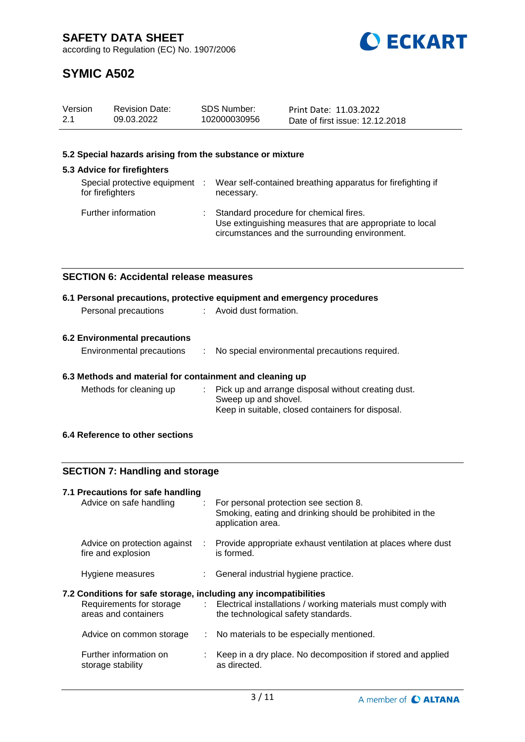

# **SYMIC A502**

| Version | <b>Revision Date:</b> | SDS Number:  | Print Date: 11.03.2022          |
|---------|-----------------------|--------------|---------------------------------|
| 2.1     | 09.03.2022            | 102000030956 | Date of first issue: 12.12.2018 |

## **5.2 Special hazards arising from the substance or mixture**

#### **5.3 Advice for firefighters** Special protective equipment : for firefighters : Wear self-contained breathing apparatus for firefighting if necessary. Further information : Standard procedure for chemical fires. Use extinguishing measures that are appropriate to local circumstances and the surrounding environment.

## **SECTION 6: Accidental release measures**

|                      | 6.1 Personal precautions, protective equipment and emergency procedures |  |
|----------------------|-------------------------------------------------------------------------|--|
| Personal precautions | : Avoid dust formation.                                                 |  |
|                      |                                                                         |  |

# **6.2 Environmental precautions**

| <b>Environmental precautions</b> |  | No special environmental precautions required. |
|----------------------------------|--|------------------------------------------------|
|----------------------------------|--|------------------------------------------------|

## **6.3 Methods and material for containment and cleaning up**

| Methods for cleaning up | : Pick up and arrange disposal without creating dust. |
|-------------------------|-------------------------------------------------------|
|                         | Sweep up and shovel.                                  |
|                         | Keep in suitable, closed containers for disposal.     |

## **6.4 Reference to other sections**

## **SECTION 7: Handling and storage**

| 7.1 Precautions for safe handling<br>Advice on safe handling     |                              | : For personal protection see section 8.<br>Smoking, eating and drinking should be prohibited in the<br>application area. |
|------------------------------------------------------------------|------------------------------|---------------------------------------------------------------------------------------------------------------------------|
| Advice on protection against<br>fire and explosion               | $\mathcal{L}_{\mathrm{max}}$ | Provide appropriate exhaust ventilation at places where dust<br>is formed.                                                |
| Hygiene measures                                                 |                              | : General industrial hygiene practice.                                                                                    |
| 7.2 Conditions for safe storage, including any incompatibilities |                              | Requirements for storage : Electrical installations / working materials must comply with                                  |
| areas and containers                                             |                              | the technological safety standards.                                                                                       |
| Advice on common storage                                         |                              | : No materials to be especially mentioned.                                                                                |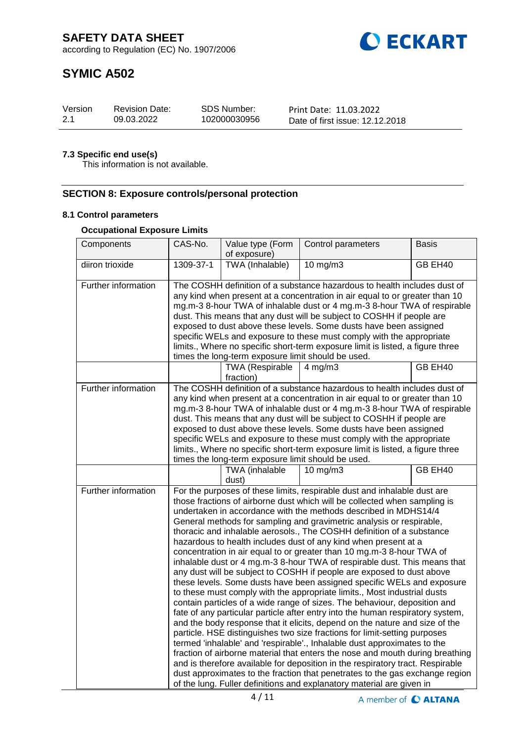

# **SYMIC A502**

| Version | <b>Revision Date:</b> | <b>SDS Number:</b> | Print Date: 11.03.2022          |
|---------|-----------------------|--------------------|---------------------------------|
| 2.1     | 09.03.2022            | 102000030956       | Date of first issue: 12.12.2018 |

## **7.3 Specific end use(s)**

This information is not available.

## **SECTION 8: Exposure controls/personal protection**

# **8.1 Control parameters**

## **Occupational Exposure Limits**

| Components          | CAS-No.                                                                                                                                                                                                                                                                                                                                                                                                                                                                                                                                                                                                                                                                                                                                                                                                                                                                                                                                                                                                                                                                                                                                                                                                                                                                                                                                                                                                                                                                                                                                                              | Value type (Form<br>of exposure) | Control parameters | Basis   |
|---------------------|----------------------------------------------------------------------------------------------------------------------------------------------------------------------------------------------------------------------------------------------------------------------------------------------------------------------------------------------------------------------------------------------------------------------------------------------------------------------------------------------------------------------------------------------------------------------------------------------------------------------------------------------------------------------------------------------------------------------------------------------------------------------------------------------------------------------------------------------------------------------------------------------------------------------------------------------------------------------------------------------------------------------------------------------------------------------------------------------------------------------------------------------------------------------------------------------------------------------------------------------------------------------------------------------------------------------------------------------------------------------------------------------------------------------------------------------------------------------------------------------------------------------------------------------------------------------|----------------------------------|--------------------|---------|
| diiron trioxide     | 1309-37-1                                                                                                                                                                                                                                                                                                                                                                                                                                                                                                                                                                                                                                                                                                                                                                                                                                                                                                                                                                                                                                                                                                                                                                                                                                                                                                                                                                                                                                                                                                                                                            | TWA (Inhalable)                  | 10 mg/m3           | GB EH40 |
| Further information | The COSHH definition of a substance hazardous to health includes dust of<br>any kind when present at a concentration in air equal to or greater than 10<br>mg.m-3 8-hour TWA of inhalable dust or 4 mg.m-3 8-hour TWA of respirable<br>dust. This means that any dust will be subject to COSHH if people are<br>exposed to dust above these levels. Some dusts have been assigned<br>specific WELs and exposure to these must comply with the appropriate<br>limits., Where no specific short-term exposure limit is listed, a figure three<br>times the long-term exposure limit should be used.                                                                                                                                                                                                                                                                                                                                                                                                                                                                                                                                                                                                                                                                                                                                                                                                                                                                                                                                                                    |                                  |                    |         |
|                     |                                                                                                                                                                                                                                                                                                                                                                                                                                                                                                                                                                                                                                                                                                                                                                                                                                                                                                                                                                                                                                                                                                                                                                                                                                                                                                                                                                                                                                                                                                                                                                      | TWA (Respirable<br>fraction)     | $4$ mg/m $3$       | GB EH40 |
| Further information | The COSHH definition of a substance hazardous to health includes dust of<br>any kind when present at a concentration in air equal to or greater than 10<br>mg.m-3 8-hour TWA of inhalable dust or 4 mg.m-3 8-hour TWA of respirable<br>dust. This means that any dust will be subject to COSHH if people are<br>exposed to dust above these levels. Some dusts have been assigned<br>specific WELs and exposure to these must comply with the appropriate<br>limits., Where no specific short-term exposure limit is listed, a figure three<br>times the long-term exposure limit should be used.                                                                                                                                                                                                                                                                                                                                                                                                                                                                                                                                                                                                                                                                                                                                                                                                                                                                                                                                                                    |                                  |                    |         |
|                     |                                                                                                                                                                                                                                                                                                                                                                                                                                                                                                                                                                                                                                                                                                                                                                                                                                                                                                                                                                                                                                                                                                                                                                                                                                                                                                                                                                                                                                                                                                                                                                      | TWA (inhalable<br>dust)          | $10 \text{ mg/m}$  | GB EH40 |
| Further information | For the purposes of these limits, respirable dust and inhalable dust are<br>those fractions of airborne dust which will be collected when sampling is<br>undertaken in accordance with the methods described in MDHS14/4<br>General methods for sampling and gravimetric analysis or respirable,<br>thoracic and inhalable aerosols., The COSHH definition of a substance<br>hazardous to health includes dust of any kind when present at a<br>concentration in air equal to or greater than 10 mg.m-3 8-hour TWA of<br>inhalable dust or 4 mg.m-3 8-hour TWA of respirable dust. This means that<br>any dust will be subject to COSHH if people are exposed to dust above<br>these levels. Some dusts have been assigned specific WELs and exposure<br>to these must comply with the appropriate limits., Most industrial dusts<br>contain particles of a wide range of sizes. The behaviour, deposition and<br>fate of any particular particle after entry into the human respiratory system,<br>and the body response that it elicits, depend on the nature and size of the<br>particle. HSE distinguishes two size fractions for limit-setting purposes<br>termed 'inhalable' and 'respirable'., Inhalable dust approximates to the<br>fraction of airborne material that enters the nose and mouth during breathing<br>and is therefore available for deposition in the respiratory tract. Respirable<br>dust approximates to the fraction that penetrates to the gas exchange region<br>of the lung. Fuller definitions and explanatory material are given in |                                  |                    |         |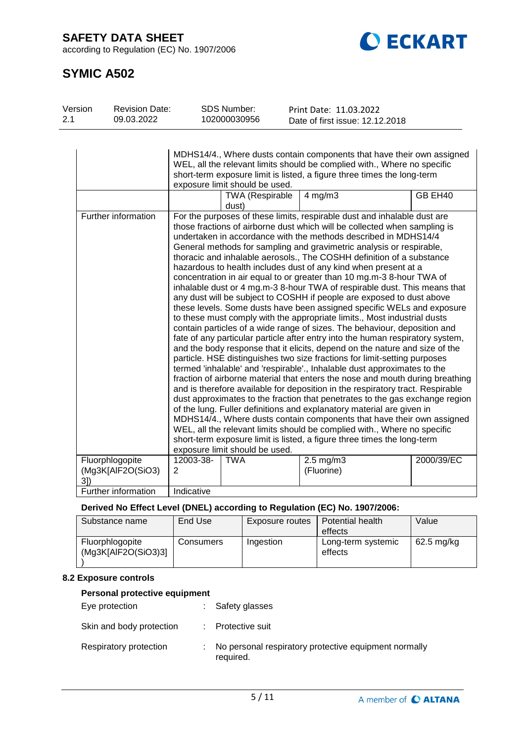**SAFETY DATA SHEET**

according to Regulation (EC) No. 1907/2006



# **SYMIC A502**

| Version | <b>Revision Date:</b>                |                | <b>SDS Number:</b>              | Print Date: 11.03.2022                                                                                                                                                                                                                                                                                                                                                                                                                                                                                                                                                                                                                                                                                                                                                                                                                                                                                                                                                                                                                                                                                                                                                                                                                                                                                                                                                                                                                                                                                                                                                                                                                                                                                                                                                                                |            |
|---------|--------------------------------------|----------------|---------------------------------|-------------------------------------------------------------------------------------------------------------------------------------------------------------------------------------------------------------------------------------------------------------------------------------------------------------------------------------------------------------------------------------------------------------------------------------------------------------------------------------------------------------------------------------------------------------------------------------------------------------------------------------------------------------------------------------------------------------------------------------------------------------------------------------------------------------------------------------------------------------------------------------------------------------------------------------------------------------------------------------------------------------------------------------------------------------------------------------------------------------------------------------------------------------------------------------------------------------------------------------------------------------------------------------------------------------------------------------------------------------------------------------------------------------------------------------------------------------------------------------------------------------------------------------------------------------------------------------------------------------------------------------------------------------------------------------------------------------------------------------------------------------------------------------------------------|------------|
| 2.1     | 09.03.2022                           |                | 102000030956                    | Date of first issue: 12.12.2018                                                                                                                                                                                                                                                                                                                                                                                                                                                                                                                                                                                                                                                                                                                                                                                                                                                                                                                                                                                                                                                                                                                                                                                                                                                                                                                                                                                                                                                                                                                                                                                                                                                                                                                                                                       |            |
|         |                                      |                | exposure limit should be used.  | MDHS14/4., Where dusts contain components that have their own assigned<br>WEL, all the relevant limits should be complied with., Where no specific<br>short-term exposure limit is listed, a figure three times the long-term                                                                                                                                                                                                                                                                                                                                                                                                                                                                                                                                                                                                                                                                                                                                                                                                                                                                                                                                                                                                                                                                                                                                                                                                                                                                                                                                                                                                                                                                                                                                                                         |            |
|         |                                      |                | <b>TWA (Respirable</b><br>dust) | $4$ mg/m $3$                                                                                                                                                                                                                                                                                                                                                                                                                                                                                                                                                                                                                                                                                                                                                                                                                                                                                                                                                                                                                                                                                                                                                                                                                                                                                                                                                                                                                                                                                                                                                                                                                                                                                                                                                                                          | GB EH40    |
|         | Further information                  |                | exposure limit should be used.  | For the purposes of these limits, respirable dust and inhalable dust are<br>those fractions of airborne dust which will be collected when sampling is<br>undertaken in accordance with the methods described in MDHS14/4<br>General methods for sampling and gravimetric analysis or respirable,<br>thoracic and inhalable aerosols., The COSHH definition of a substance<br>hazardous to health includes dust of any kind when present at a<br>concentration in air equal to or greater than 10 mg.m-3 8-hour TWA of<br>inhalable dust or 4 mg.m-3 8-hour TWA of respirable dust. This means that<br>any dust will be subject to COSHH if people are exposed to dust above<br>these levels. Some dusts have been assigned specific WELs and exposure<br>to these must comply with the appropriate limits., Most industrial dusts<br>contain particles of a wide range of sizes. The behaviour, deposition and<br>fate of any particular particle after entry into the human respiratory system,<br>and the body response that it elicits, depend on the nature and size of the<br>particle. HSE distinguishes two size fractions for limit-setting purposes<br>termed 'inhalable' and 'respirable'., Inhalable dust approximates to the<br>fraction of airborne material that enters the nose and mouth during breathing<br>and is therefore available for deposition in the respiratory tract. Respirable<br>dust approximates to the fraction that penetrates to the gas exchange region<br>of the lung. Fuller definitions and explanatory material are given in<br>MDHS14/4., Where dusts contain components that have their own assigned<br>WEL, all the relevant limits should be complied with., Where no specific<br>short-term exposure limit is listed, a figure three times the long-term |            |
|         | Fluorphlogopite<br>(Mg3K[AlF2O(SiO3) | 12003-38-<br>2 | <b>TWA</b>                      | $2.5$ mg/m $3$<br>(Fluorine)                                                                                                                                                                                                                                                                                                                                                                                                                                                                                                                                                                                                                                                                                                                                                                                                                                                                                                                                                                                                                                                                                                                                                                                                                                                                                                                                                                                                                                                                                                                                                                                                                                                                                                                                                                          | 2000/39/EC |
|         | 3])                                  |                |                                 |                                                                                                                                                                                                                                                                                                                                                                                                                                                                                                                                                                                                                                                                                                                                                                                                                                                                                                                                                                                                                                                                                                                                                                                                                                                                                                                                                                                                                                                                                                                                                                                                                                                                                                                                                                                                       |            |
|         | <b>Further information</b>           | Indicative     |                                 |                                                                                                                                                                                                                                                                                                                                                                                                                                                                                                                                                                                                                                                                                                                                                                                                                                                                                                                                                                                                                                                                                                                                                                                                                                                                                                                                                                                                                                                                                                                                                                                                                                                                                                                                                                                                       |            |

# **Derived No Effect Level (DNEL) according to Regulation (EC) No. 1907/2006:**

| Substance name                         | End Use   | Exposure routes | Potential health<br>effects   | Value      |
|----------------------------------------|-----------|-----------------|-------------------------------|------------|
| Fluorphlogopite<br>(Mg3K[AlF2O(SiO3)3] | Consumers | Ingestion       | Long-term systemic<br>effects | 62.5 mg/kg |

## **8.2 Exposure controls**

## **Personal protective equipment**

| Eye protection           | : Safety glasses                                                     |
|--------------------------|----------------------------------------------------------------------|
| Skin and body protection | : Protective suit                                                    |
| Respiratory protection   | : No personal respiratory protective equipment normally<br>required. |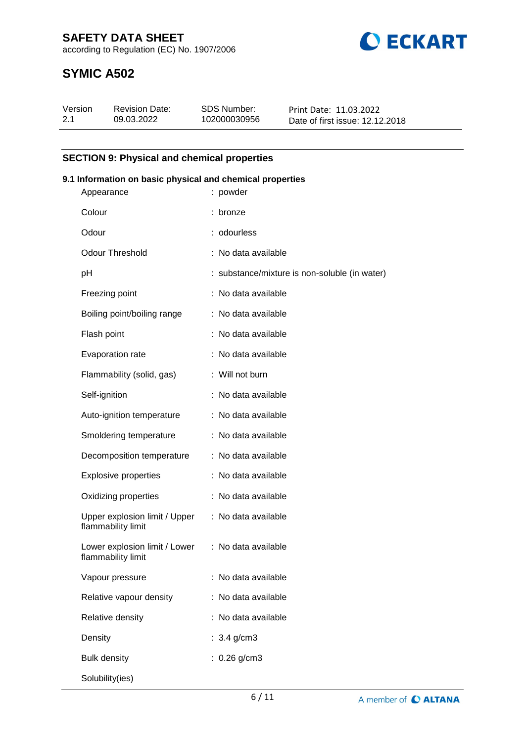**SAFETY DATA SHEET**





# **SYMIC A502**

| Version | <b>Revision Date:</b> | SDS Number:  | Print Date: 11.03.2022          |
|---------|-----------------------|--------------|---------------------------------|
| 2.1     | 09.03.2022            | 102000030956 | Date of first issue: 12.12.2018 |

# **SECTION 9: Physical and chemical properties**

## **9.1 Information on basic physical and chemical properties**

| Appearance                                          | : powder                                      |
|-----------------------------------------------------|-----------------------------------------------|
| Colour                                              | : bronze                                      |
| Odour                                               | : odourless                                   |
| <b>Odour Threshold</b>                              | : No data available                           |
| pH                                                  | : substance/mixture is non-soluble (in water) |
| Freezing point                                      | : No data available                           |
| Boiling point/boiling range                         | : No data available                           |
| Flash point                                         | : No data available                           |
| Evaporation rate                                    | : No data available                           |
| Flammability (solid, gas)                           | : Will not burn                               |
| Self-ignition                                       | : No data available                           |
| Auto-ignition temperature                           | : No data available                           |
| Smoldering temperature                              | : No data available                           |
| Decomposition temperature                           | : No data available                           |
| <b>Explosive properties</b>                         | : No data available                           |
| Oxidizing properties                                | : No data available                           |
| Upper explosion limit / Upper<br>flammability limit | : No data available                           |
| Lower explosion limit / Lower<br>flammability limit | : No data available                           |
| Vapour pressure                                     | : No data available                           |
| Relative vapour density                             | : No data available                           |
| Relative density                                    | No data available                             |
| Density                                             | : $3.4$ g/cm3                                 |
| <b>Bulk density</b>                                 | : $0.26$ g/cm3                                |
| Solubility(ies)                                     |                                               |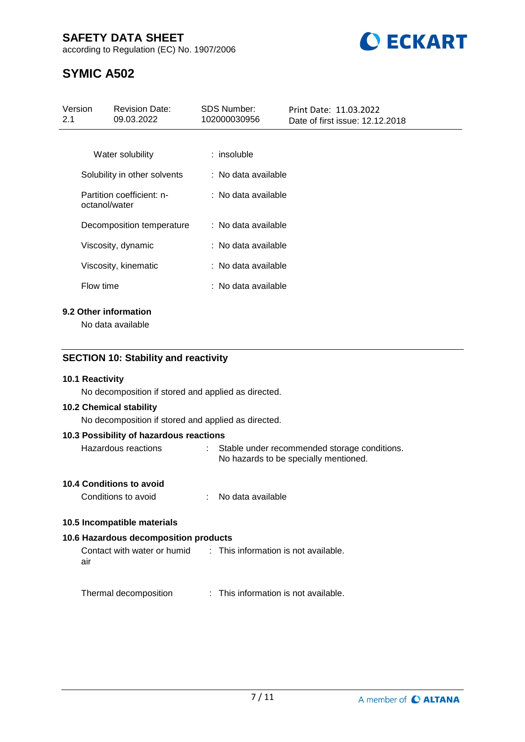# **SAFETY DATA SHEET**

according to Regulation (EC) No. 1907/2006



# **SYMIC A502**

| Version<br>2.1 | <b>Revision Date:</b><br>09.03.2022        | <b>SDS Number:</b><br>102000030956 | Print Date: 11.03.2022<br>Date of first issue: 12.12.2018 |
|----------------|--------------------------------------------|------------------------------------|-----------------------------------------------------------|
|                |                                            |                                    |                                                           |
|                | Water solubility                           | $:$ insoluble                      |                                                           |
|                | Solubility in other solvents               | : No data available                |                                                           |
|                | Partition coefficient: n-<br>octanol/water | : No data available                |                                                           |
|                | Decomposition temperature                  | : No data available                |                                                           |
|                | Viscosity, dynamic                         | : No data available                |                                                           |
|                | Viscosity, kinematic                       | : No data available                |                                                           |
|                | Flow time                                  | : No data available                |                                                           |
|                | 9.2 Other information                      |                                    |                                                           |

No data available

# **SECTION 10: Stability and reactivity**

## **10.1 Reactivity**

No decomposition if stored and applied as directed.

#### **10.2 Chemical stability**

No decomposition if stored and applied as directed.

#### **10.3 Possibility of hazardous reactions**

Hazardous reactions : Stable under recommended storage conditions. No hazards to be specially mentioned.

## **10.4 Conditions to avoid**

Conditions to avoid : No data available

## **10.5 Incompatible materials**

## **10.6 Hazardous decomposition products**

Contact with water or humid air : This information is not available.

Thermal decomposition : This information is not available.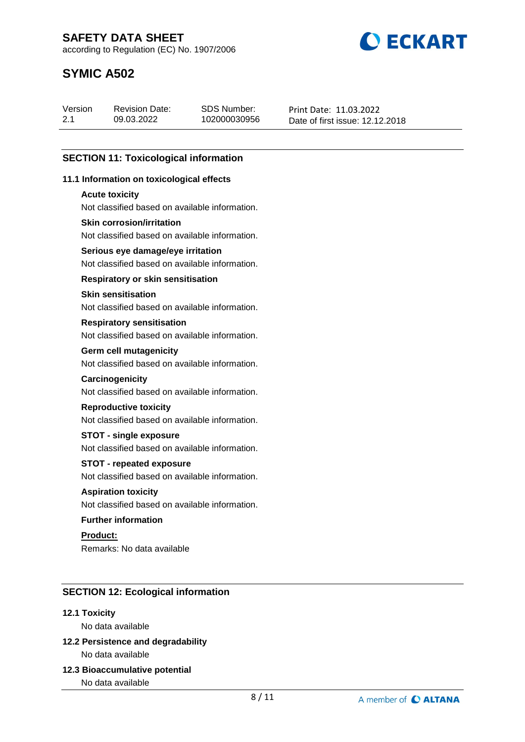**BECKART** 

according to Regulation (EC) No. 1907/2006

# **SYMIC A502**

| Version | <b>Revision Date:</b> | SDS Number:  | Print Date: 11.03.2022          |
|---------|-----------------------|--------------|---------------------------------|
| 2.1     | 09.03.2022            | 102000030956 | Date of first issue: 12.12.2018 |

# **SECTION 11: Toxicological information**

## **11.1 Information on toxicological effects**

#### **Acute toxicity**

Not classified based on available information.

## **Skin corrosion/irritation**

Not classified based on available information.

## **Serious eye damage/eye irritation**

Not classified based on available information.

## **Respiratory or skin sensitisation**

## **Skin sensitisation**

Not classified based on available information.

#### **Respiratory sensitisation**

Not classified based on available information.

#### **Germ cell mutagenicity**

Not classified based on available information.

#### **Carcinogenicity**

Not classified based on available information.

## **Reproductive toxicity**

Not classified based on available information.

## **STOT - single exposure**

Not classified based on available information.

## **STOT - repeated exposure**

Not classified based on available information.

# **Aspiration toxicity**

Not classified based on available information.

## **Further information**

**Product:** Remarks: No data available

# **SECTION 12: Ecological information**

## **12.1 Toxicity**

No data available

# **12.2 Persistence and degradability** No data available

**12.3 Bioaccumulative potential**

No data available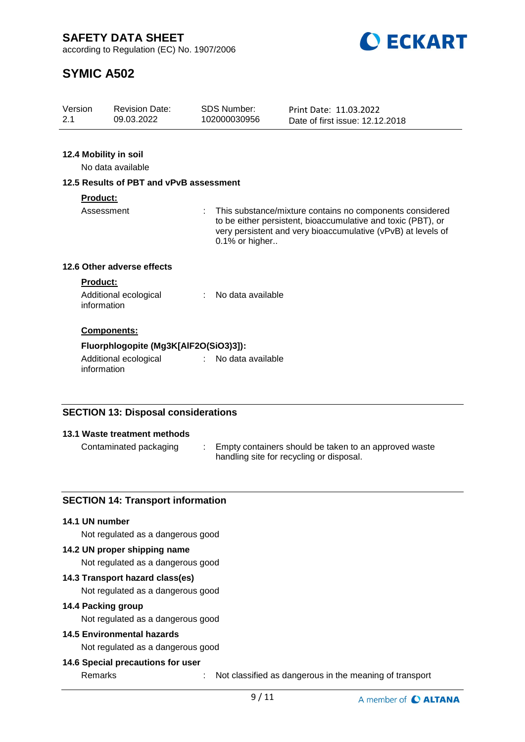**ECKART** 

according to Regulation (EC) No. 1907/2006

# **SYMIC A502**

| Version | <b>Revision Date:</b> | SDS Number:  | Print Date: 11.03.2022          |
|---------|-----------------------|--------------|---------------------------------|
| 2.1     | 09.03.2022            | 102000030956 | Date of first issue: 12.12.2018 |
|         |                       |              |                                 |

# **12.4 Mobility in soil**

No data available

## **12.5 Results of PBT and vPvB assessment**

## **Product:**

Assessment : This substance/mixture contains no components considered to be either persistent, bioaccumulative and toxic (PBT), or very persistent and very bioaccumulative (vPvB) at levels of 0.1% or higher..

# **12.6 Other adverse effects**

#### **Product:**

| Additional ecological | No data available |
|-----------------------|-------------------|
| information           |                   |

## **Components:**

## **Fluorphlogopite (Mg3K[AlF2O(SiO3)3]):**

Additional ecological information : No data available

# **SECTION 13: Disposal considerations**

## **13.1 Waste treatment methods**

Contaminated packaging : Empty containers should be taken to an approved waste handling site for recycling or disposal.

# **SECTION 14: Transport information**

## **14.1 UN number**

Not regulated as a dangerous good

## **14.2 UN proper shipping name**

Not regulated as a dangerous good

## **14.3 Transport hazard class(es)**

Not regulated as a dangerous good

## **14.4 Packing group**

Not regulated as a dangerous good

# **14.5 Environmental hazards**

Not regulated as a dangerous good

## **14.6 Special precautions for user**

Remarks : Not classified as dangerous in the meaning of transport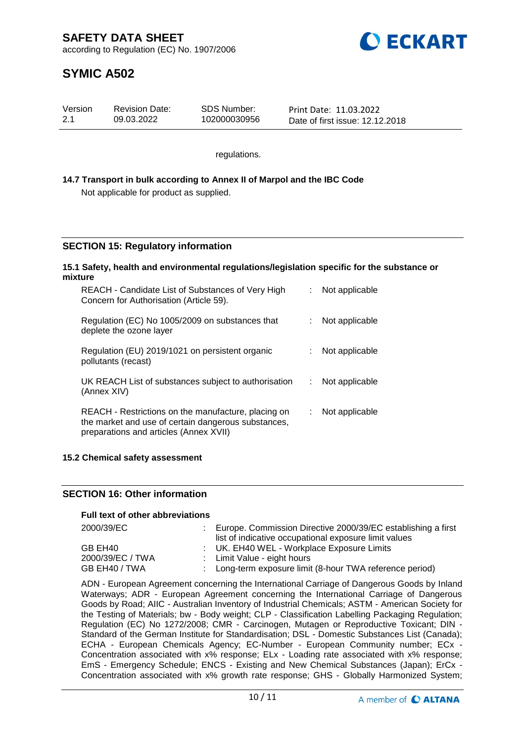

# **SYMIC A502**

| Version | <b>Revision Date:</b> | SDS Number:  | Print Date: 11.03.2022          |
|---------|-----------------------|--------------|---------------------------------|
| 2.1     | 09.03.2022            | 102000030956 | Date of first issue: 12.12.2018 |

regulations.

## **14.7 Transport in bulk according to Annex II of Marpol and the IBC Code** Not applicable for product as supplied.

# **SECTION 15: Regulatory information**

#### **15.1 Safety, health and environmental regulations/legislation specific for the substance or mixture**

| REACH - Candidate List of Substances of Very High<br>Concern for Authorisation (Article 59).                                                         |    | Not applicable |
|------------------------------------------------------------------------------------------------------------------------------------------------------|----|----------------|
| Regulation (EC) No 1005/2009 on substances that<br>deplete the ozone layer                                                                           |    | Not applicable |
| Regulation (EU) 2019/1021 on persistent organic<br>pollutants (recast)                                                                               |    | Not applicable |
| UK REACH List of substances subject to authorisation<br>(Annex XIV)                                                                                  | t. | Not applicable |
| REACH - Restrictions on the manufacture, placing on<br>the market and use of certain dangerous substances,<br>preparations and articles (Annex XVII) |    | Not applicable |

## **15.2 Chemical safety assessment**

## **SECTION 16: Other information**

## **Full text of other abbreviations**

| 2000/39/EC       | Europe. Commission Directive 2000/39/EC establishing a first<br>list of indicative occupational exposure limit values |
|------------------|-----------------------------------------------------------------------------------------------------------------------|
| GB EH40          | : UK. EH40 WEL - Workplace Exposure Limits                                                                            |
| 2000/39/EC / TWA | : Limit Value - eight hours                                                                                           |
| GB EH40 / TWA    | : Long-term exposure limit (8-hour TWA reference period)                                                              |

ADN - European Agreement concerning the International Carriage of Dangerous Goods by Inland Waterways; ADR - European Agreement concerning the International Carriage of Dangerous Goods by Road; AIIC - Australian Inventory of Industrial Chemicals; ASTM - American Society for the Testing of Materials; bw - Body weight; CLP - Classification Labelling Packaging Regulation; Regulation (EC) No 1272/2008; CMR - Carcinogen, Mutagen or Reproductive Toxicant; DIN - Standard of the German Institute for Standardisation; DSL - Domestic Substances List (Canada); ECHA - European Chemicals Agency; EC-Number - European Community number; ECx - Concentration associated with x% response; ELx - Loading rate associated with x% response; EmS - Emergency Schedule; ENCS - Existing and New Chemical Substances (Japan); ErCx - Concentration associated with x% growth rate response; GHS - Globally Harmonized System;